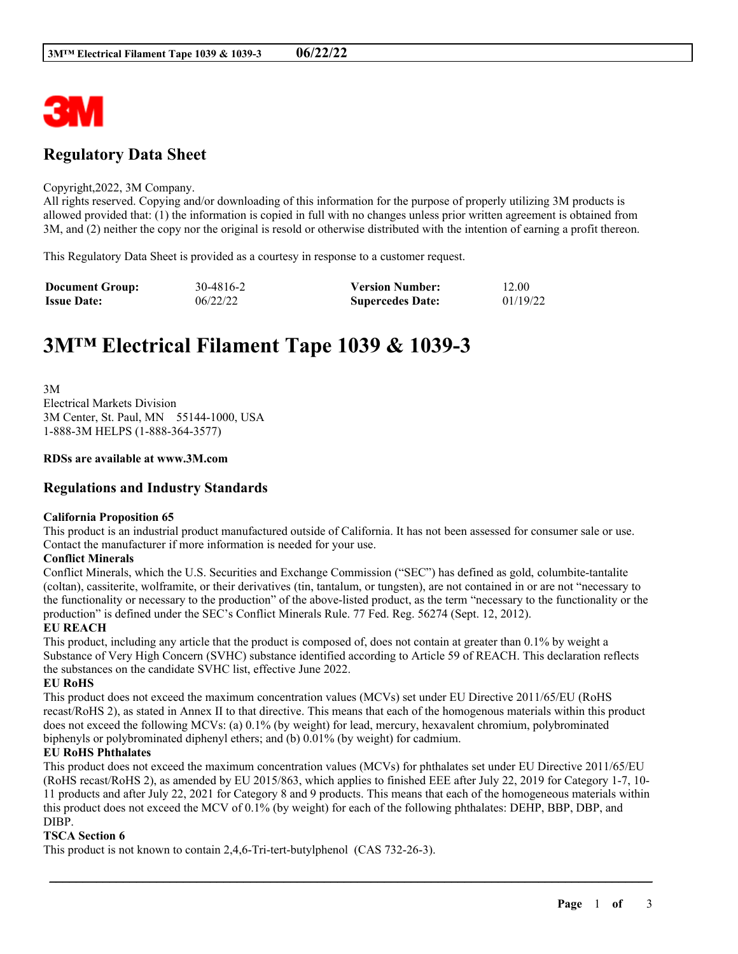

## **Regulatory Data Sheet**

#### Copyright,2022, 3M Company.

All rights reserved. Copying and/or downloading of this information for the purpose of properly utilizing 3M products is allowed provided that: (1) the information is copied in full with no changes unless prior written agreement is obtained from 3M, and (2) neither the copy nor the original is resold or otherwise distributed with the intention of earning a profit thereon.

This Regulatory Data Sheet is provided as a courtesy in response to a customer request.

| <b>Document Group:</b> | 30-4816-2 | <b>Version Number:</b>  | 12.00    |
|------------------------|-----------|-------------------------|----------|
| <b>Issue Date:</b>     | 06/22/22  | <b>Supercedes Date:</b> | 01/19/22 |

# **3M™ Electrical Filament Tape 1039 & 1039-3**

3M Electrical Markets Division 3M Center, St. Paul, MN 55144-1000, USA 1-888-3M HELPS (1-888-364-3577)

#### **RDSs are available at www.3M.com**

### **Regulations and Industry Standards**

#### **California Proposition 65**

This product is an industrial product manufactured outside of California. It has not been assessed for consumer sale or use. Contact the manufacturer if more information is needed for your use.

#### **Conflict Minerals**

Conflict Minerals, which the U.S. Securities and Exchange Commission ("SEC") has defined as gold, columbite-tantalite (coltan), cassiterite, wolframite, or their derivatives (tin, tantalum, or tungsten), are not contained in or are not "necessary to the functionality or necessary to the production" of the above-listed product, as the term "necessary to the functionality or the production" is defined under the SEC's Conflict Minerals Rule. 77 Fed. Reg. 56274 (Sept. 12, 2012).

#### **EU REACH**

This product, including any article that the product is composed of, does not contain at greater than 0.1% by weight a Substance of Very High Concern (SVHC) substance identified according to Article 59 of REACH. This declaration reflects the substances on the candidate SVHC list, effective June 2022.

#### **EU RoHS**

This product does not exceed the maximum concentration values (MCVs) set under EU Directive 2011/65/EU (RoHS recast/RoHS 2), as stated in Annex II to that directive. This means that each of the homogenous materials within this product does not exceed the following MCVs: (a) 0.1% (by weight) for lead, mercury, hexavalent chromium, polybrominated biphenyls or polybrominated diphenyl ethers; and (b) 0.01% (by weight) for cadmium.

#### **EU RoHS Phthalates**

This product does not exceed the maximum concentration values (MCVs) for phthalates set under EU Directive 2011/65/EU (RoHS recast/RoHS 2), as amended by EU 2015/863, which applies to finished EEE after July 22, 2019 for Category 1-7, 10- 11 products and after July 22, 2021 for Category 8 and 9 products. This means that each of the homogeneous materials within this product does not exceed the MCV of 0.1% (by weight) for each of the following phthalates: DEHP, BBP, DBP, and DIBP.

\_\_\_\_\_\_\_\_\_\_\_\_\_\_\_\_\_\_\_\_\_\_\_\_\_\_\_\_\_\_\_\_\_\_\_\_\_\_\_\_\_\_\_\_\_\_\_\_\_\_\_\_\_\_\_\_\_\_\_\_\_\_\_\_\_\_\_\_\_\_\_\_\_\_\_\_\_\_\_\_\_\_\_\_\_\_\_\_\_\_

#### **TSCA Section 6**

This product is not known to contain 2,4,6-Tri-tert-butylphenol (CAS 732-26-3).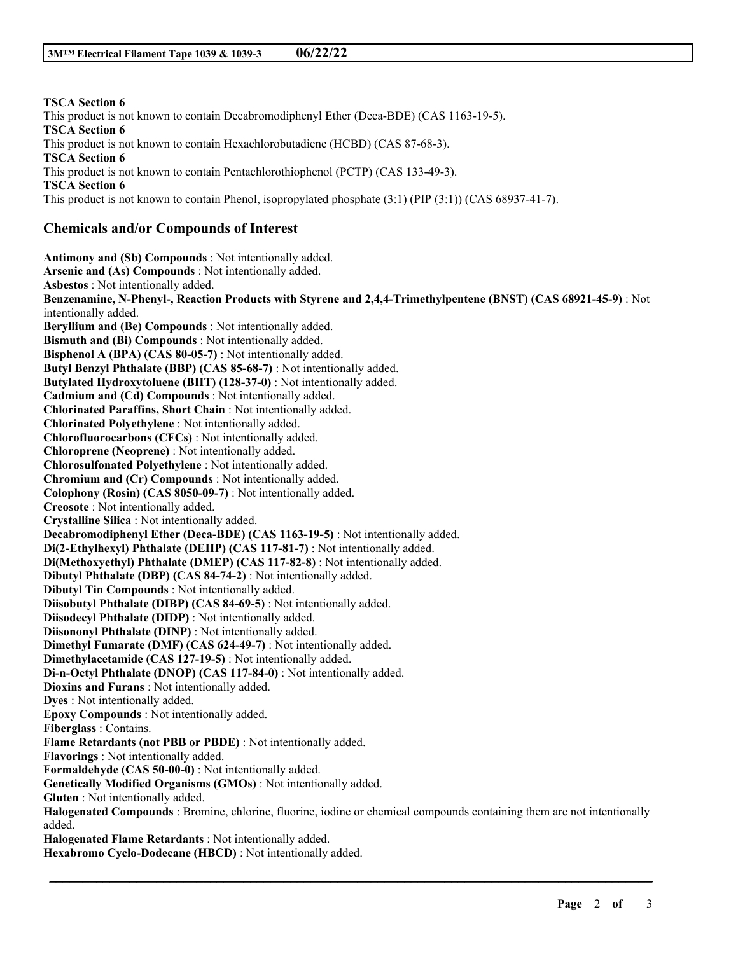**TSCA Section 6** This product is not known to contain Decabromodiphenyl Ether (Deca-BDE) (CAS 1163-19-5). **TSCA Section 6** This product is not known to contain Hexachlorobutadiene (HCBD) (CAS 87-68-3). **TSCA Section 6** This product is not known to contain Pentachlorothiophenol (PCTP) (CAS 133-49-3). **TSCA Section 6** This product is not known to contain Phenol, isopropylated phosphate (3:1) (PIP (3:1)) (CAS 68937-41-7). **Chemicals and/or Compounds of Interest Antimony and (Sb) Compounds** : Not intentionally added. **Arsenic and (As) Compounds** : Not intentionally added. **Asbestos** : Not intentionally added. **Benzenamine, N-Phenyl-, Reaction Products with Styrene and 2,4,4-Trimethylpentene (BNST) (CAS 68921-45-9)** : Not intentionally added. **Beryllium and (Be) Compounds** : Not intentionally added. **Bismuth and (Bi) Compounds** : Not intentionally added. **Bisphenol A (BPA) (CAS 80-05-7)** : Not intentionally added. **Butyl Benzyl Phthalate (BBP) (CAS 85-68-7)** : Not intentionally added. **Butylated Hydroxytoluene (BHT) (128-37-0)** : Not intentionally added. **Cadmium and (Cd) Compounds** : Not intentionally added. **Chlorinated Paraffins, Short Chain** : Not intentionally added. **Chlorinated Polyethylene** : Not intentionally added. **Chlorofluorocarbons (CFCs)** : Not intentionally added. **Chloroprene (Neoprene)** : Not intentionally added. **Chlorosulfonated Polyethylene** : Not intentionally added. **Chromium and (Cr) Compounds** : Not intentionally added. **Colophony (Rosin) (CAS 8050-09-7)** : Not intentionally added. **Creosote** : Not intentionally added. **Crystalline Silica** : Not intentionally added. **Decabromodiphenyl Ether (Deca-BDE) (CAS 1163-19-5)** : Not intentionally added. **Di(2-Ethylhexyl) Phthalate (DEHP) (CAS 117-81-7)** : Not intentionally added. **Di(Methoxyethyl) Phthalate (DMEP) (CAS 117-82-8)** : Not intentionally added. **Dibutyl Phthalate (DBP) (CAS 84-74-2)** : Not intentionally added. **Dibutyl Tin Compounds** : Not intentionally added. **Diisobutyl Phthalate (DIBP) (CAS 84-69-5)** : Not intentionally added. **Diisodecyl Phthalate (DIDP)** : Not intentionally added. **Diisononyl Phthalate (DINP)** : Not intentionally added. **Dimethyl Fumarate (DMF) (CAS 624-49-7)** : Not intentionally added. **Dimethylacetamide (CAS 127-19-5)** : Not intentionally added. **Di-n-Octyl Phthalate (DNOP) (CAS 117-84-0)** : Not intentionally added. **Dioxins and Furans** : Not intentionally added. **Dyes** : Not intentionally added. **Epoxy Compounds** : Not intentionally added. **Fiberglass** : Contains. **Flame Retardants (not PBB or PBDE)** : Not intentionally added. **Flavorings** : Not intentionally added. **Formaldehyde (CAS 50-00-0)** : Not intentionally added. **Genetically Modified Organisms (GMOs)** : Not intentionally added. **Gluten** : Not intentionally added. **Halogenated Compounds** : Bromine, chlorine, fluorine, iodine or chemical compounds containing them are not intentionally added.

\_\_\_\_\_\_\_\_\_\_\_\_\_\_\_\_\_\_\_\_\_\_\_\_\_\_\_\_\_\_\_\_\_\_\_\_\_\_\_\_\_\_\_\_\_\_\_\_\_\_\_\_\_\_\_\_\_\_\_\_\_\_\_\_\_\_\_\_\_\_\_\_\_\_\_\_\_\_\_\_\_\_\_\_\_\_\_\_\_\_

**Halogenated Flame Retardants** : Not intentionally added.

**Hexabromo Cyclo-Dodecane (HBCD)** : Not intentionally added.